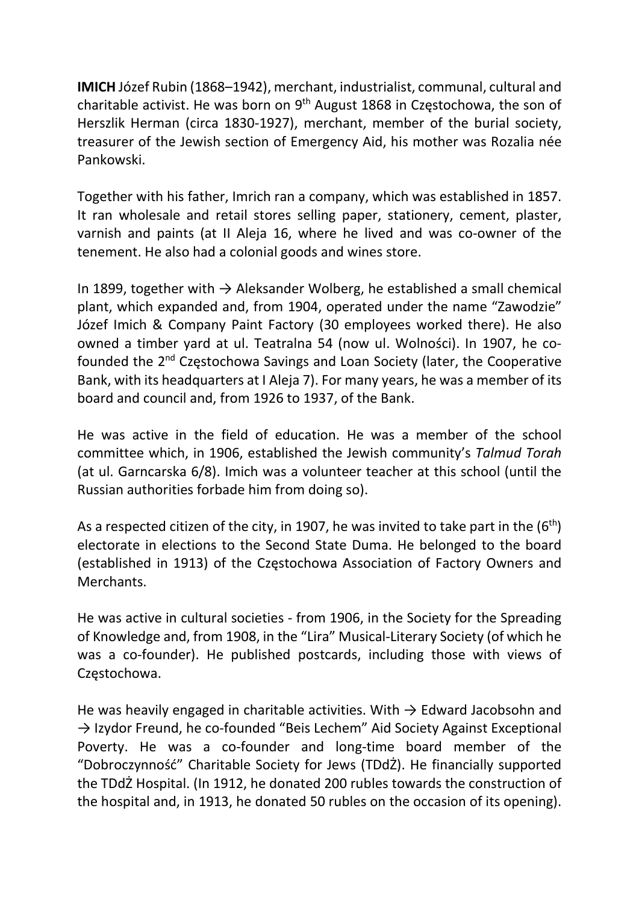IMICH Józef Rubin (1868–1942), merchant, industrialist, communal, cultural and charitable activist. He was born on 9th August 1868 in Częstochowa, the son of Herszlik Herman (circa 1830-1927), merchant, member of the burial society, treasurer of the Jewish section of Emergency Aid, his mother was Rozalia née Pankowski.

Together with his father, Imrich ran a company, which was established in 1857. It ran wholesale and retail stores selling paper, stationery, cement, plaster, varnish and paints (at II Aleja 16, where he lived and was co-owner of the tenement. He also had a colonial goods and wines store.

In 1899, together with  $\rightarrow$  Aleksander Wolberg, he established a small chemical plant, which expanded and, from 1904, operated under the name "Zawodzie" Józef Imich & Company Paint Factory (30 employees worked there). He also owned a timber yard at ul. Teatralna 54 (now ul. Wolności). In 1907, he cofounded the 2nd Częstochowa Savings and Loan Society (later, the Cooperative Bank, with its headquarters at I Aleja 7). For many years, he was a member of its board and council and, from 1926 to 1937, of the Bank.

He was active in the field of education. He was a member of the school committee which, in 1906, established the Jewish community's Talmud Torah (at ul. Garncarska 6/8). Imich was a volunteer teacher at this school (until the Russian authorities forbade him from doing so).

As a respected citizen of the city, in 1907, he was invited to take part in the  $(6<sup>th</sup>)$ electorate in elections to the Second State Duma. He belonged to the board (established in 1913) of the Częstochowa Association of Factory Owners and Merchants.

He was active in cultural societies - from 1906, in the Society for the Spreading of Knowledge and, from 1908, in the "Lira" Musical-Literary Society (of which he was a co-founder). He published postcards, including those with views of Częstochowa.

He was heavily engaged in charitable activities. With  $\rightarrow$  Edward Jacobsohn and  $\rightarrow$  Izydor Freund, he co-founded "Beis Lechem" Aid Society Against Exceptional Poverty. He was a co-founder and long-time board member of the "Dobroczynność" Charitable Society for Jews (TDdŻ). He financially supported the TDdŻ Hospital. (In 1912, he donated 200 rubles towards the construction of the hospital and, in 1913, he donated 50 rubles on the occasion of its opening).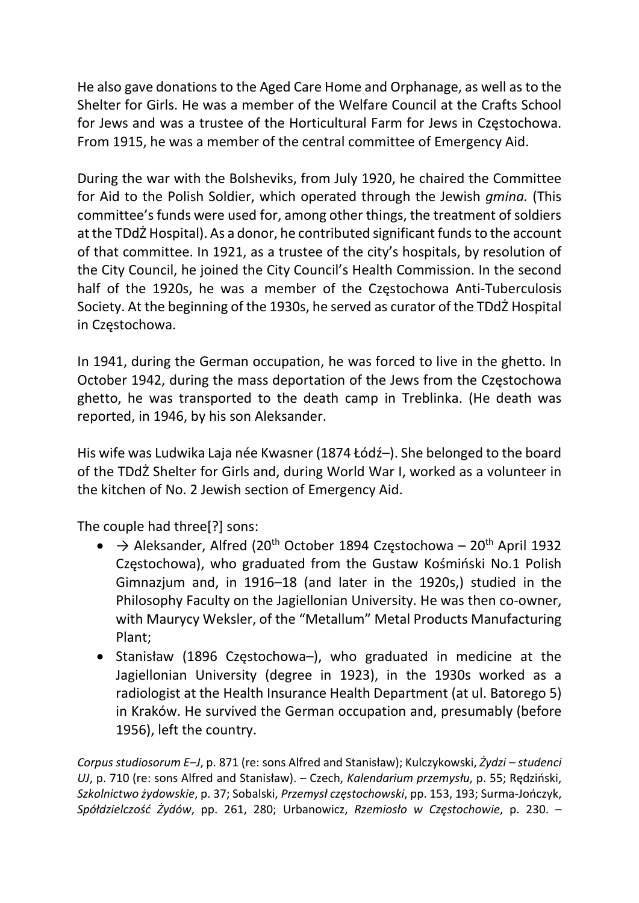He also gave donations to the Aged Care Home and Orphanage, as well as to the Shelter for Girls. He was a member of the Welfare Council at the Crafts School for Jews and was a trustee of the Horticultural Farm for Jews in Częstochowa. From 1915, he was a member of the central committee of Emergency Aid.

During the war with the Bolsheviks, from July 1920, he chaired the Committee for Aid to the Polish Soldier, which operated through the Jewish gmina. (This committee's funds were used for, among other things, the treatment of soldiers at the TDdŻ Hospital). As a donor, he contributed significant funds to the account of that committee. In 1921, as a trustee of the city's hospitals, by resolution of the City Council, he joined the City Council's Health Commission. In the second half of the 1920s, he was a member of the Częstochowa Anti-Tuberculosis Society. At the beginning of the 1930s, he served as curator of the TDdŻ Hospital in Częstochowa.

In 1941, during the German occupation, he was forced to live in the ghetto. In October 1942, during the mass deportation of the Jews from the Częstochowa ghetto, he was transported to the death camp in Treblinka. (He death was reported, in 1946, by his son Aleksander.

His wife was Ludwika Laja née Kwasner (1874 Łódź–). She belonged to the board of the TDdŻ Shelter for Girls and, during World War I, worked as a volunteer in the kitchen of No. 2 Jewish section of Emergency Aid.

The couple had three[?] sons:

- $\rightarrow$  Aleksander, Alfred (20<sup>th</sup> October 1894 Częstochowa 20<sup>th</sup> April 1932 Częstochowa), who graduated from the Gustaw Kośmiński No.1 Polish Gimnazjum and, in 1916–18 (and later in the 1920s,) studied in the Philosophy Faculty on the Jagiellonian University. He was then co-owner, with Maurycy Weksler, of the "Metallum" Metal Products Manufacturing Plant;
- Stanisław (1896 Częstochowa-), who graduated in medicine at the Jagiellonian University (degree in 1923), in the 1930s worked as a radiologist at the Health Insurance Health Department (at ul. Batorego 5) in Kraków. He survived the German occupation and, presumably (before 1956), left the country.

Corpus studiosorum E–J, p. 871 (re: sons Alfred and Stanisław); Kulczykowski, Żydzi – studenci UJ, p. 710 (re: sons Alfred and Stanisław). – Czech, Kalendarium przemysłu, p. 55; Rędziński, Szkolnictwo żydowskie, p. 37; Sobalski, Przemysł częstochowski, pp. 153, 193; Surma-Jończyk, Spółdzielczość Żydów, pp. 261, 280; Urbanowicz, Rzemiosło w Częstochowie, p. 230. –